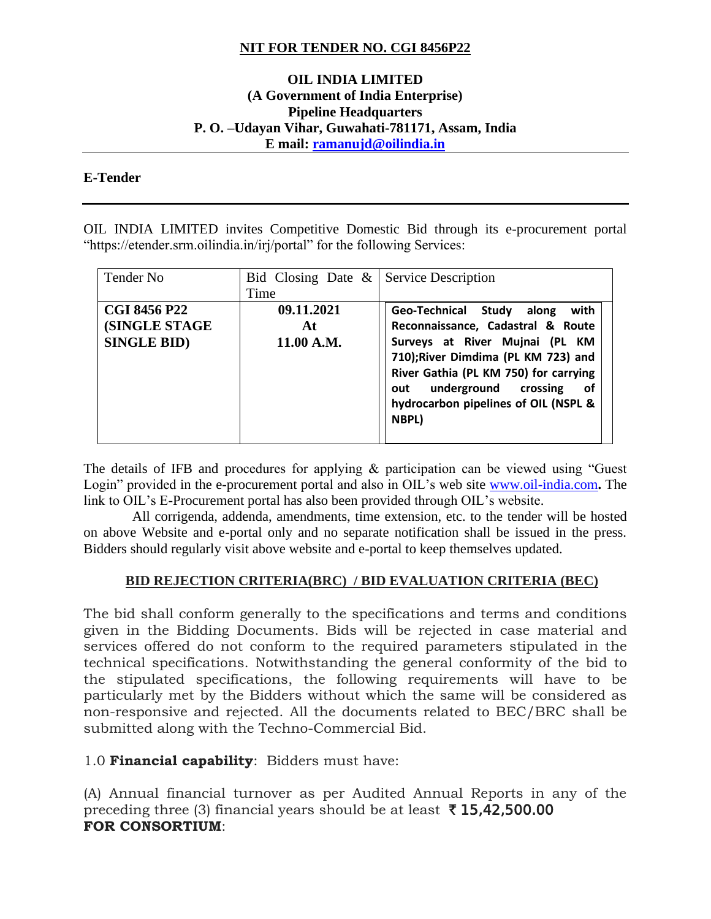## **NIT FOR TENDER NO. CGI 8456P22**

### **OIL INDIA LIMITED (A Government of India Enterprise) Pipeline Headquarters P. O. –Udayan Vihar, Guwahati-781171, Assam, India E mail: [ramanujd@oilindia.in](mailto:ramanujd@oilindia.in)**

#### **E-Tender**

OIL INDIA LIMITED invites Competitive Domestic Bid through its e-procurement portal "https://etender.srm.oilindia.in/irj/portal" for the following Services:

| Tender No                                                   | Bid Closing Date $\&$ Service Description<br>Time |                                                                                                                                                                                                                                                                                  |
|-------------------------------------------------------------|---------------------------------------------------|----------------------------------------------------------------------------------------------------------------------------------------------------------------------------------------------------------------------------------------------------------------------------------|
| <b>CGI 8456 P22</b><br>(SINGLE STAGE)<br><b>SINGLE BID)</b> | 09.11.2021<br>At<br>11.00 A.M.                    | with<br>Geo-Technical Study<br>along<br>Reconnaissance, Cadastral & Route<br>Surveys at River Mujnai (PL KM<br>710);River Dimdima (PL KM 723) and<br>River Gathia (PL KM 750) for carrying<br>underground crossing<br>οf<br>out<br>hydrocarbon pipelines of OIL (NSPL &<br>NBPL) |

The details of IFB and procedures for applying & participation can be viewed using "Guest Login" provided in the e-procurement portal and also in OIL's web site [www.oil-india.com](http://www.oil-india.com/)**.** The link to OIL's E-Procurement portal has also been provided through OIL's website.

 All corrigenda, addenda, amendments, time extension, etc. to the tender will be hosted on above Website and e-portal only and no separate notification shall be issued in the press. Bidders should regularly visit above website and e-portal to keep themselves updated.

#### **BID REJECTION CRITERIA(BRC) / BID EVALUATION CRITERIA (BEC)**

The bid shall conform generally to the specifications and terms and conditions given in the Bidding Documents. Bids will be rejected in case material and services offered do not conform to the required parameters stipulated in the technical specifications. Notwithstanding the general conformity of the bid to the stipulated specifications, the following requirements will have to be particularly met by the Bidders without which the same will be considered as non-responsive and rejected. All the documents related to BEC/BRC shall be submitted along with the Techno-Commercial Bid.

1.0 **Financial capability**: Bidders must have:

(A) Annual financial turnover as per Audited Annual Reports in any of the preceding three (3) financial years should be at least  $\bar{\tau}$  15,42,500.00 **FOR CONSORTIUM**: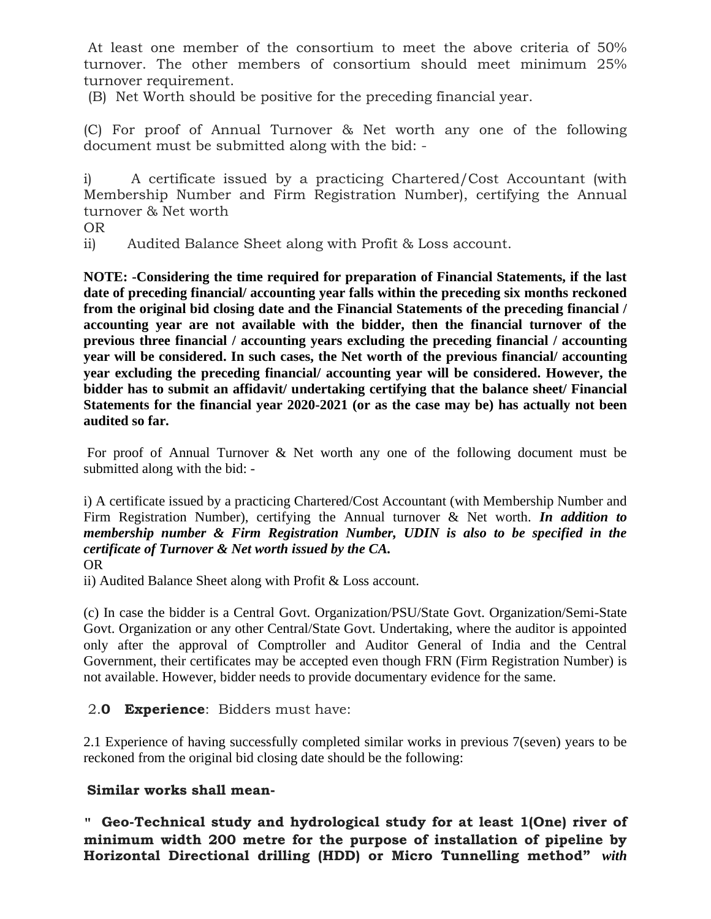At least one member of the consortium to meet the above criteria of 50% turnover. The other members of consortium should meet minimum 25% turnover requirement.

(B) Net Worth should be positive for the preceding financial year.

(C) For proof of Annual Turnover & Net worth any one of the following document must be submitted along with the bid: -

i) A certificate issued by a practicing Chartered/Cost Accountant (with Membership Number and Firm Registration Number), certifying the Annual turnover & Net worth

OR

ii) Audited Balance Sheet along with Profit & Loss account.

**NOTE: -Considering the time required for preparation of Financial Statements, if the last date of preceding financial/ accounting year falls within the preceding six months reckoned from the original bid closing date and the Financial Statements of the preceding financial / accounting year are not available with the bidder, then the financial turnover of the previous three financial / accounting years excluding the preceding financial / accounting year will be considered. In such cases, the Net worth of the previous financial/ accounting year excluding the preceding financial/ accounting year will be considered. However, the bidder has to submit an affidavit/ undertaking certifying that the balance sheet/ Financial Statements for the financial year 2020-2021 (or as the case may be) has actually not been audited so far.**

For proof of Annual Turnover & Net worth any one of the following document must be submitted along with the bid: -

i) A certificate issued by a practicing Chartered/Cost Accountant (with Membership Number and Firm Registration Number), certifying the Annual turnover & Net worth. *In addition to membership number & Firm Registration Number, UDIN is also to be specified in the certificate of Turnover & Net worth issued by the CA.* OR

ii) Audited Balance Sheet along with Profit & Loss account.

(c) In case the bidder is a Central Govt. Organization/PSU/State Govt. Organization/Semi-State Govt. Organization or any other Central/State Govt. Undertaking, where the auditor is appointed only after the approval of Comptroller and Auditor General of India and the Central Government, their certificates may be accepted even though FRN (Firm Registration Number) is not available. However, bidder needs to provide documentary evidence for the same.

### 2.**0 Experience**: Bidders must have:

2.1 Experience of having successfully completed similar works in previous 7(seven) years to be reckoned from the original bid closing date should be the following:

#### **Similar works shall mean-**

" **Geo-Technical study and hydrological study for at least 1(One) river of minimum width 200 metre for the purpose of installation of pipeline by Horizontal Directional drilling (HDD) or Micro Tunnelling method"** *with*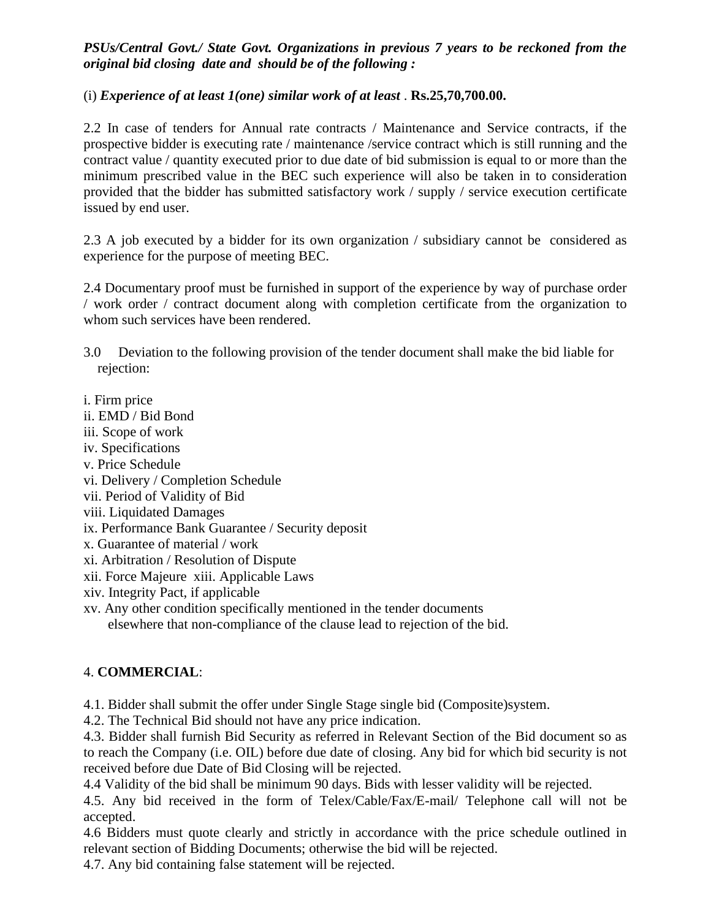## *PSUs/Central Govt./ State Govt. Organizations in previous 7 years to be reckoned from the original bid closing date and should be of the following :*

### (i) *Experience of at least 1(one) similar work of at least* . **Rs.25,70,700.00.**

2.2 In case of tenders for Annual rate contracts / Maintenance and Service contracts, if the prospective bidder is executing rate / maintenance /service contract which is still running and the contract value / quantity executed prior to due date of bid submission is equal to or more than the minimum prescribed value in the BEC such experience will also be taken in to consideration provided that the bidder has submitted satisfactory work / supply / service execution certificate issued by end user.

2.3 A job executed by a bidder for its own organization / subsidiary cannot be considered as experience for the purpose of meeting BEC.

2.4 Documentary proof must be furnished in support of the experience by way of purchase order / work order / contract document along with completion certificate from the organization to whom such services have been rendered.

- 3.0 Deviation to the following provision of the tender document shall make the bid liable for rejection:
- i. Firm price
- ii. EMD / Bid Bond
- iii. Scope of work
- iv. Specifications
- v. Price Schedule
- vi. Delivery / Completion Schedule
- vii. Period of Validity of Bid
- viii. Liquidated Damages
- ix. Performance Bank Guarantee / Security deposit
- x. Guarantee of material / work
- xi. Arbitration / Resolution of Dispute
- xii. Force Majeure xiii. Applicable Laws
- xiv. Integrity Pact, if applicable
- xv. Any other condition specifically mentioned in the tender documents elsewhere that non-compliance of the clause lead to rejection of the bid.

# 4. **COMMERCIAL**:

4.1. Bidder shall submit the offer under Single Stage single bid (Composite)system.

4.2. The Technical Bid should not have any price indication.

4.3. Bidder shall furnish Bid Security as referred in Relevant Section of the Bid document so as to reach the Company (i.e. OIL) before due date of closing. Any bid for which bid security is not received before due Date of Bid Closing will be rejected.

4.4 Validity of the bid shall be minimum 90 days. Bids with lesser validity will be rejected.

4.5. Any bid received in the form of Telex/Cable/Fax/E-mail/ Telephone call will not be accepted.

4.6 Bidders must quote clearly and strictly in accordance with the price schedule outlined in relevant section of Bidding Documents; otherwise the bid will be rejected.

4.7. Any bid containing false statement will be rejected.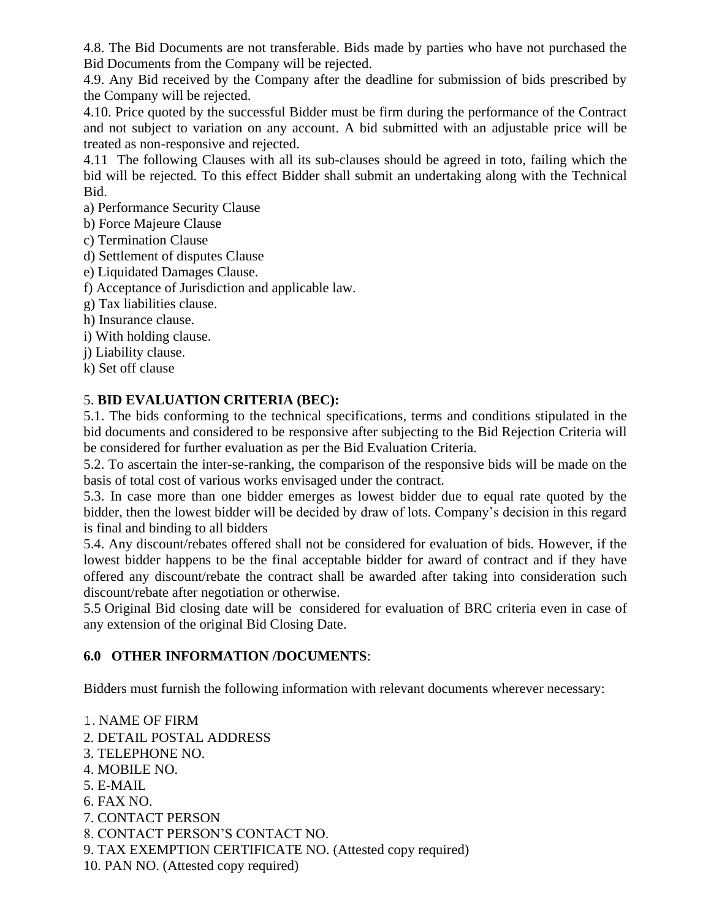4.8. The Bid Documents are not transferable. Bids made by parties who have not purchased the Bid Documents from the Company will be rejected.

4.9. Any Bid received by the Company after the deadline for submission of bids prescribed by the Company will be rejected.

4.10. Price quoted by the successful Bidder must be firm during the performance of the Contract and not subject to variation on any account. A bid submitted with an adjustable price will be treated as non-responsive and rejected.

4.11 The following Clauses with all its sub-clauses should be agreed in toto, failing which the bid will be rejected. To this effect Bidder shall submit an undertaking along with the Technical Bid.

a) Performance Security Clause

b) Force Majeure Clause

- c) Termination Clause
- d) Settlement of disputes Clause
- e) Liquidated Damages Clause.
- f) Acceptance of Jurisdiction and applicable law.
- g) Tax liabilities clause.
- h) Insurance clause.
- i) With holding clause.
- j) Liability clause.

k) Set off clause

# 5. **BID EVALUATION CRITERIA (BEC):**

5.1. The bids conforming to the technical specifications, terms and conditions stipulated in the bid documents and considered to be responsive after subjecting to the Bid Rejection Criteria will be considered for further evaluation as per the Bid Evaluation Criteria.

5.2. To ascertain the inter-se-ranking, the comparison of the responsive bids will be made on the basis of total cost of various works envisaged under the contract.

5.3. In case more than one bidder emerges as lowest bidder due to equal rate quoted by the bidder, then the lowest bidder will be decided by draw of lots. Company's decision in this regard is final and binding to all bidders

5.4. Any discount/rebates offered shall not be considered for evaluation of bids. However, if the lowest bidder happens to be the final acceptable bidder for award of contract and if they have offered any discount/rebate the contract shall be awarded after taking into consideration such discount/rebate after negotiation or otherwise.

5.5 Original Bid closing date will be considered for evaluation of BRC criteria even in case of any extension of the original Bid Closing Date.

# **6.0 OTHER INFORMATION /DOCUMENTS**:

Bidders must furnish the following information with relevant documents wherever necessary:

1. NAME OF FIRM

- 2. DETAIL POSTAL ADDRESS
- 3. TELEPHONE NO.
- 4. MOBILE NO.
- 5. E-MAIL
- 6. FAX NO.
- 7. CONTACT PERSON

8. CONTACT PERSON'S CONTACT NO.

- 9. TAX EXEMPTION CERTIFICATE NO. (Attested copy required)
- 10. PAN NO. (Attested copy required)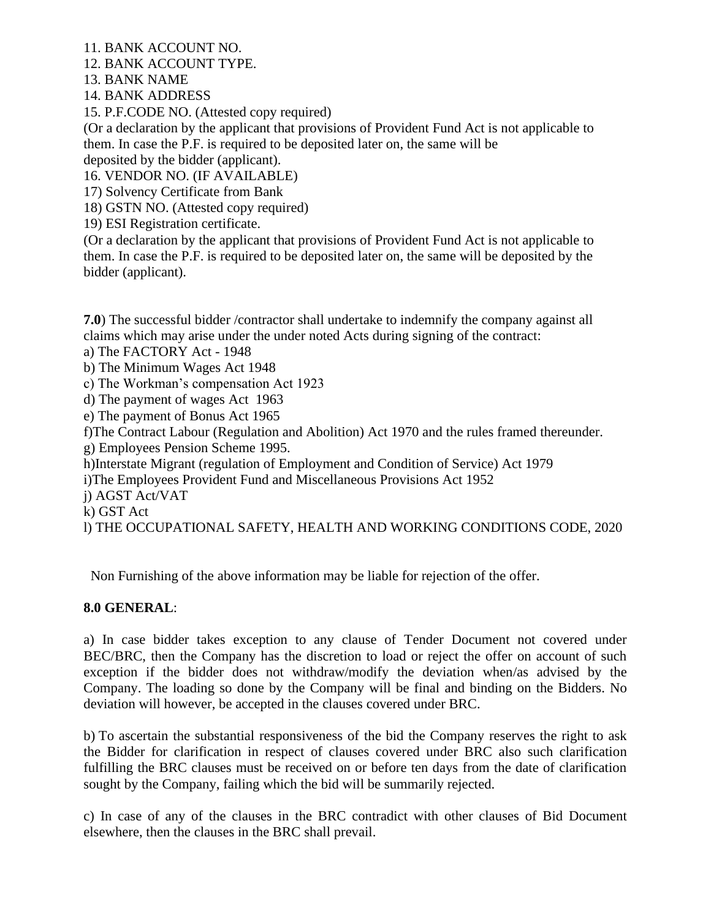11. BANK ACCOUNT NO.

12. BANK ACCOUNT TYPE.

13. BANK NAME

14. BANK ADDRESS

15. P.F.CODE NO. (Attested copy required)

(Or a declaration by the applicant that provisions of Provident Fund Act is not applicable to them. In case the P.F. is required to be deposited later on, the same will be deposited by the bidder (applicant).

16. VENDOR NO. (IF AVAILABLE)

17) Solvency Certificate from Bank

18) GSTN NO. (Attested copy required)

19) ESI Registration certificate.

(Or a declaration by the applicant that provisions of Provident Fund Act is not applicable to them. In case the P.F. is required to be deposited later on, the same will be deposited by the bidder (applicant).

**7.0**) The successful bidder /contractor shall undertake to indemnify the company against all claims which may arise under the under noted Acts during signing of the contract:

a) The FACTORY Act - 1948

b) The Minimum Wages Act 1948

c) The Workman's compensation Act 1923

d) The payment of wages Act 1963

e) The payment of Bonus Act 1965

f)The Contract Labour (Regulation and Abolition) Act 1970 and the rules framed thereunder.

g) Employees Pension Scheme 1995.

h)Interstate Migrant (regulation of Employment and Condition of Service) Act 1979

i)The Employees Provident Fund and Miscellaneous Provisions Act 1952

j) AGST Act/VAT

k) GST Act

l) THE OCCUPATIONAL SAFETY, HEALTH AND WORKING CONDITIONS CODE, 2020

Non Furnishing of the above information may be liable for rejection of the offer.

#### **8.0 GENERAL**:

a) In case bidder takes exception to any clause of Tender Document not covered under BEC/BRC, then the Company has the discretion to load or reject the offer on account of such exception if the bidder does not withdraw/modify the deviation when/as advised by the Company. The loading so done by the Company will be final and binding on the Bidders. No deviation will however, be accepted in the clauses covered under BRC.

b) To ascertain the substantial responsiveness of the bid the Company reserves the right to ask the Bidder for clarification in respect of clauses covered under BRC also such clarification fulfilling the BRC clauses must be received on or before ten days from the date of clarification sought by the Company, failing which the bid will be summarily rejected.

c) In case of any of the clauses in the BRC contradict with other clauses of Bid Document elsewhere, then the clauses in the BRC shall prevail.